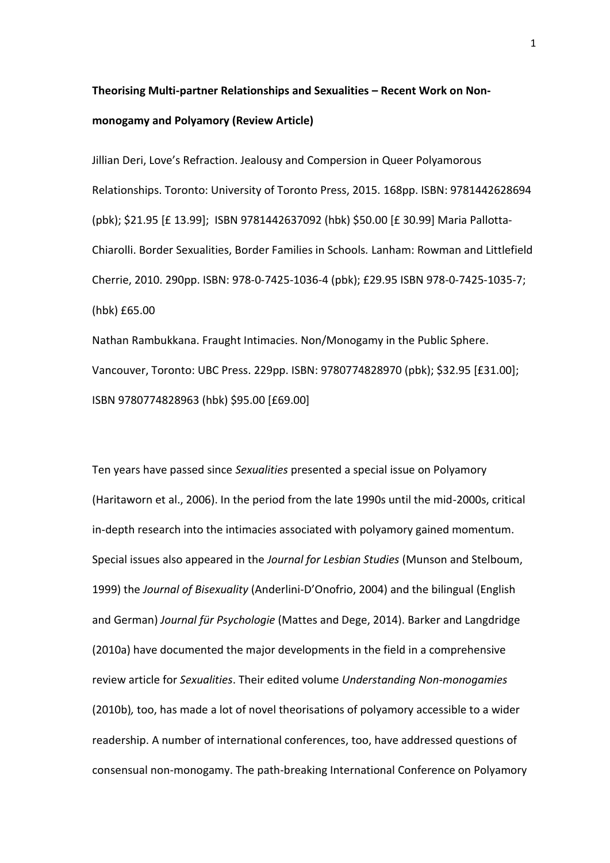# **Theorising Multi-partner Relationships and Sexualities – Recent Work on Nonmonogamy and Polyamory (Review Article)**

Jillian Deri, Love's Refraction. Jealousy and Compersion in Queer Polyamorous Relationships. Toronto: University of Toronto Press, 2015. 168pp. ISBN: 9781442628694 (pbk); \$21.95 [£ 13.99]; ISBN 9781442637092 (hbk) \$50.00 [£ 30.99] Maria Pallotta-Chiarolli. Border Sexualities, Border Families in Schools*.* Lanham: Rowman and Littlefield Cherrie, 2010. 290pp. ISBN: 978-0-7425-1036-4 (pbk); £29.95 ISBN 978-0-7425-1035-7; (hbk) £65.00

Nathan Rambukkana. Fraught Intimacies. Non/Monogamy in the Public Sphere. Vancouver, Toronto: UBC Press. 229pp. ISBN: 9780774828970 (pbk); \$32.95 [£31.00]; ISBN 9780774828963 (hbk) \$95.00 [£69.00]

Ten years have passed since *Sexualities* presented a special issue on Polyamory (Haritaworn et al., 2006). In the period from the late 1990s until the mid-2000s, critical in-depth research into the intimacies associated with polyamory gained momentum. Special issues also appeared in the *Journal for Lesbian Studies* (Munson and Stelboum, 1999) the *Journal of Bisexuality* (Anderlini-D'Onofrio, 2004) and the bilingual (English and German) *Journal für Psychologie* (Mattes and Dege, 2014). Barker and Langdridge (2010a) have documented the major developments in the field in a comprehensive review article for *Sexualities*. Their edited volume *Understanding Non-monogamies*  (2010b)*,* too, has made a lot of novel theorisations of polyamory accessible to a wider readership. A number of international conferences, too, have addressed questions of consensual non-monogamy. The path-breaking International Conference on Polyamory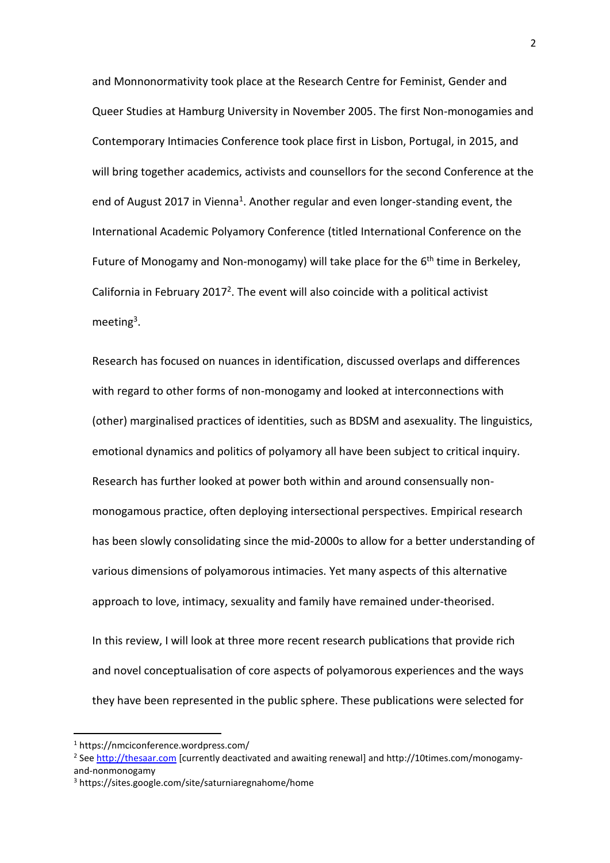and Monnonormativity took place at the Research Centre for Feminist, Gender and Queer Studies at Hamburg University in November 2005. The first Non-monogamies and Contemporary Intimacies Conference took place first in Lisbon, Portugal, in 2015, and will bring together academics, activists and counsellors for the second Conference at the end of August 2017 in Vienna<sup>1</sup>. Another regular and even longer-standing event, the International Academic Polyamory Conference (titled International Conference on the Future of Monogamy and Non-monogamy) will take place for the 6<sup>th</sup> time in Berkeley, California in February 2017<sup>2</sup>. The event will also coincide with a political activist meeting<sup>3</sup>.

Research has focused on nuances in identification, discussed overlaps and differences with regard to other forms of non-monogamy and looked at interconnections with (other) marginalised practices of identities, such as BDSM and asexuality. The linguistics, emotional dynamics and politics of polyamory all have been subject to critical inquiry. Research has further looked at power both within and around consensually nonmonogamous practice, often deploying intersectional perspectives. Empirical research has been slowly consolidating since the mid-2000s to allow for a better understanding of various dimensions of polyamorous intimacies. Yet many aspects of this alternative approach to love, intimacy, sexuality and family have remained under-theorised.

In this review, I will look at three more recent research publications that provide rich and novel conceptualisation of core aspects of polyamorous experiences and the ways they have been represented in the public sphere. These publications were selected for

**.** 

<sup>1</sup> https://nmciconference.wordpress.com/

<sup>&</sup>lt;sup>2</sup> See [http://thesaar.com](http://thesaar.com/) [currently deactivated and awaiting renewal] and http://10times.com/monogamyand-nonmonogamy

<sup>3</sup> https://sites.google.com/site/saturniaregnahome/home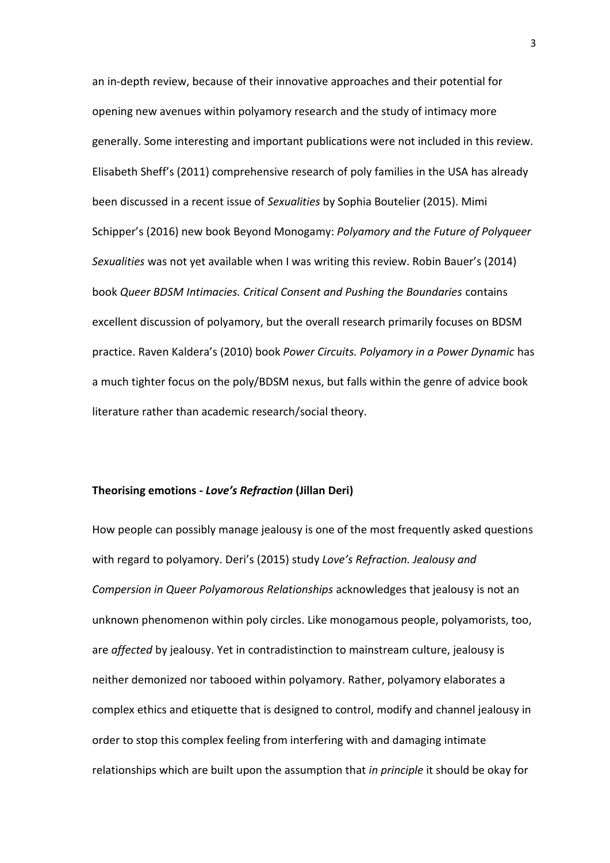an in-depth review, because of their innovative approaches and their potential for opening new avenues within polyamory research and the study of intimacy more generally. Some interesting and important publications were not included in this review. Elisabeth Sheff's (2011) comprehensive research of poly families in the USA has already been discussed in a recent issue of *Sexualities* by Sophia Boutelier (2015). Mimi Schipper's (2016) new book Beyond Monogamy: *Polyamory and the Future of Polyqueer Sexualities* was not yet available when I was writing this review. Robin Bauer's (2014) book *Queer BDSM Intimacies. Critical Consent and Pushing the Boundaries* contains excellent discussion of polyamory, but the overall research primarily focuses on BDSM practice. Raven Kaldera's (2010) book *Power Circuits. Polyamory in a Power Dynamic* has a much tighter focus on the poly/BDSM nexus, but falls within the genre of advice book literature rather than academic research/social theory.

### **Theorising emotions -** *Love's Refraction* **(Jillan Deri)**

How people can possibly manage jealousy is one of the most frequently asked questions with regard to polyamory. Deri's (2015) study *Love's Refraction. Jealousy and Compersion in Queer Polyamorous Relationships* acknowledges that jealousy is not an unknown phenomenon within poly circles. Like monogamous people, polyamorists, too, are *affected* by jealousy. Yet in contradistinction to mainstream culture, jealousy is neither demonized nor tabooed within polyamory. Rather, polyamory elaborates a complex ethics and etiquette that is designed to control, modify and channel jealousy in order to stop this complex feeling from interfering with and damaging intimate relationships which are built upon the assumption that *in principle* it should be okay for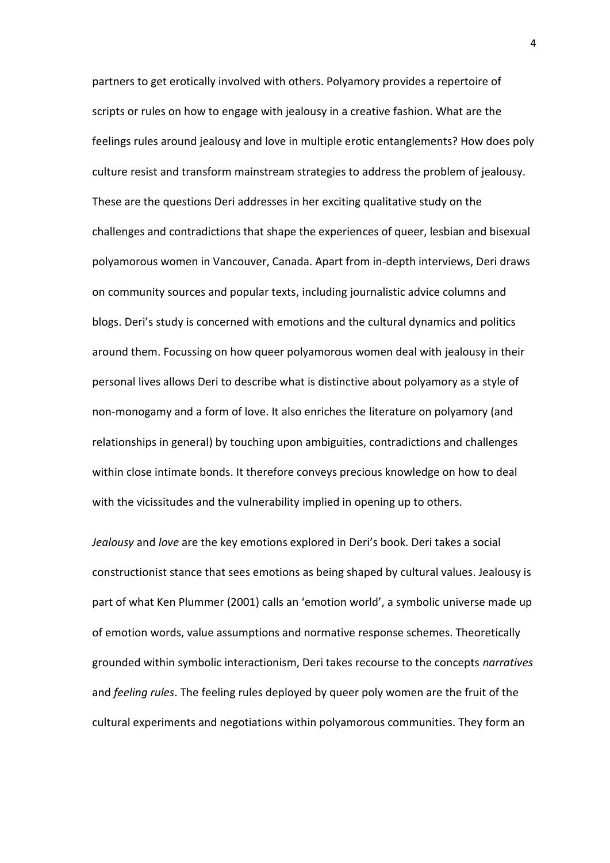partners to get erotically involved with others. Polyamory provides a repertoire of scripts or rules on how to engage with jealousy in a creative fashion. What are the feelings rules around jealousy and love in multiple erotic entanglements? How does poly culture resist and transform mainstream strategies to address the problem of jealousy. These are the questions Deri addresses in her exciting qualitative study on the challenges and contradictions that shape the experiences of queer, lesbian and bisexual polyamorous women in Vancouver, Canada. Apart from in-depth interviews, Deri draws on community sources and popular texts, including journalistic advice columns and blogs. Deri's study is concerned with emotions and the cultural dynamics and politics around them. Focussing on how queer polyamorous women deal with jealousy in their personal lives allows Deri to describe what is distinctive about polyamory as a style of non-monogamy and a form of love. It also enriches the literature on polyamory (and relationships in general) by touching upon ambiguities, contradictions and challenges within close intimate bonds. It therefore conveys precious knowledge on how to deal with the vicissitudes and the vulnerability implied in opening up to others.

*Jealousy* and *love* are the key emotions explored in Deri's book. Deri takes a social constructionist stance that sees emotions as being shaped by cultural values. Jealousy is part of what Ken Plummer (2001) calls an 'emotion world', a symbolic universe made up of emotion words, value assumptions and normative response schemes. Theoretically grounded within symbolic interactionism, Deri takes recourse to the concepts *narratives* and *feeling rules*. The feeling rules deployed by queer poly women are the fruit of the cultural experiments and negotiations within polyamorous communities. They form an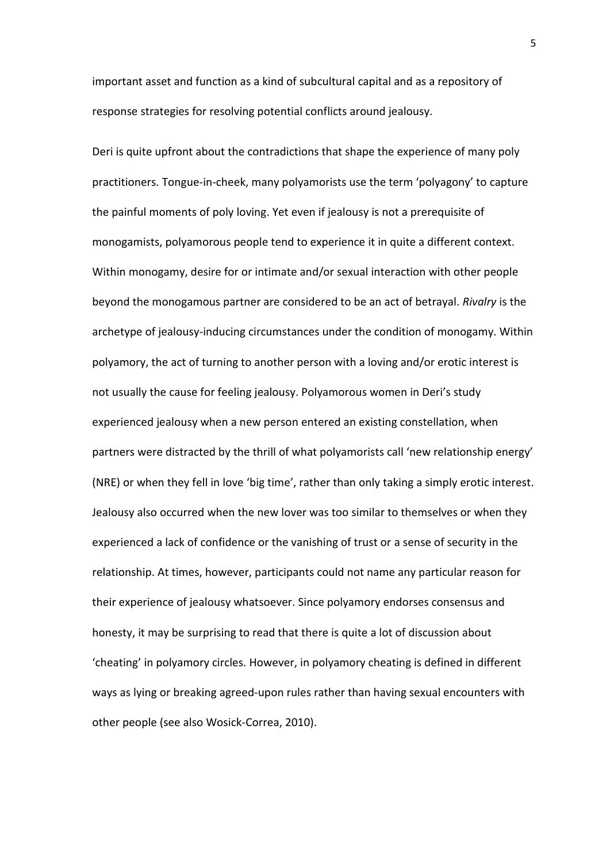important asset and function as a kind of subcultural capital and as a repository of response strategies for resolving potential conflicts around jealousy.

Deri is quite upfront about the contradictions that shape the experience of many poly practitioners. Tongue-in-cheek, many polyamorists use the term 'polyagony' to capture the painful moments of poly loving. Yet even if jealousy is not a prerequisite of monogamists, polyamorous people tend to experience it in quite a different context. Within monogamy, desire for or intimate and/or sexual interaction with other people beyond the monogamous partner are considered to be an act of betrayal. *Rivalry* is the archetype of jealousy-inducing circumstances under the condition of monogamy. Within polyamory, the act of turning to another person with a loving and/or erotic interest is not usually the cause for feeling jealousy. Polyamorous women in Deri's study experienced jealousy when a new person entered an existing constellation, when partners were distracted by the thrill of what polyamorists call 'new relationship energy' (NRE) or when they fell in love 'big time', rather than only taking a simply erotic interest. Jealousy also occurred when the new lover was too similar to themselves or when they experienced a lack of confidence or the vanishing of trust or a sense of security in the relationship. At times, however, participants could not name any particular reason for their experience of jealousy whatsoever. Since polyamory endorses consensus and honesty, it may be surprising to read that there is quite a lot of discussion about 'cheating' in polyamory circles. However, in polyamory cheating is defined in different ways as lying or breaking agreed-upon rules rather than having sexual encounters with other people (see also Wosick-Correa, 2010).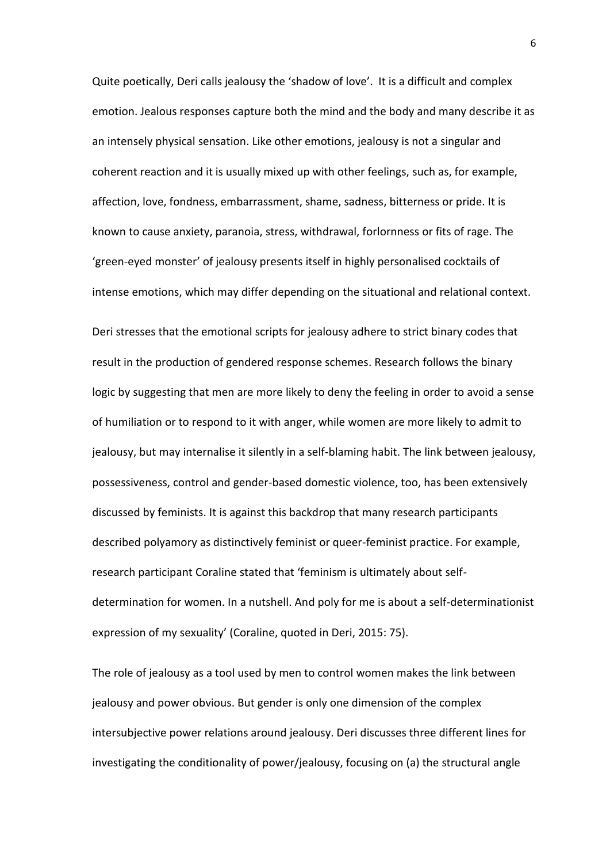Quite poetically, Deri calls jealousy the 'shadow of love'. It is a difficult and complex emotion. Jealous responses capture both the mind and the body and many describe it as an intensely physical sensation. Like other emotions, jealousy is not a singular and coherent reaction and it is usually mixed up with other feelings, such as, for example, affection, love, fondness, embarrassment, shame, sadness, bitterness or pride. It is known to cause anxiety, paranoia, stress, withdrawal, forlornness or fits of rage. The 'green-eyed monster' of jealousy presents itself in highly personalised cocktails of intense emotions, which may differ depending on the situational and relational context.

Deri stresses that the emotional scripts for jealousy adhere to strict binary codes that result in the production of gendered response schemes. Research follows the binary logic by suggesting that men are more likely to deny the feeling in order to avoid a sense of humiliation or to respond to it with anger, while women are more likely to admit to jealousy, but may internalise it silently in a self-blaming habit. The link between jealousy, possessiveness, control and gender-based domestic violence, too, has been extensively discussed by feminists. It is against this backdrop that many research participants described polyamory as distinctively feminist or queer-feminist practice. For example, research participant Coraline stated that 'feminism is ultimately about selfdetermination for women. In a nutshell. And poly for me is about a self-determinationist expression of my sexuality' (Coraline, quoted in Deri, 2015: 75).

The role of jealousy as a tool used by men to control women makes the link between jealousy and power obvious. But gender is only one dimension of the complex intersubjective power relations around jealousy. Deri discusses three different lines for investigating the conditionality of power/jealousy, focusing on (a) the structural angle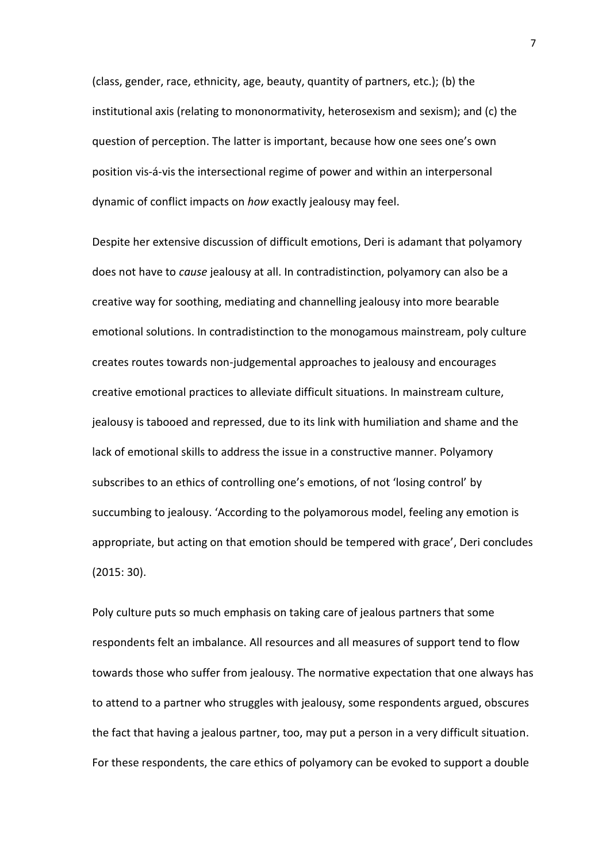(class, gender, race, ethnicity, age, beauty, quantity of partners, etc.); (b) the institutional axis (relating to mononormativity, heterosexism and sexism); and (c) the question of perception. The latter is important, because how one sees one's own position vis-á-vis the intersectional regime of power and within an interpersonal dynamic of conflict impacts on *how* exactly jealousy may feel.

Despite her extensive discussion of difficult emotions, Deri is adamant that polyamory does not have to *cause* jealousy at all. In contradistinction, polyamory can also be a creative way for soothing, mediating and channelling jealousy into more bearable emotional solutions. In contradistinction to the monogamous mainstream, poly culture creates routes towards non-judgemental approaches to jealousy and encourages creative emotional practices to alleviate difficult situations. In mainstream culture, jealousy is tabooed and repressed, due to its link with humiliation and shame and the lack of emotional skills to address the issue in a constructive manner. Polyamory subscribes to an ethics of controlling one's emotions, of not 'losing control' by succumbing to jealousy. 'According to the polyamorous model, feeling any emotion is appropriate, but acting on that emotion should be tempered with grace', Deri concludes (2015: 30).

Poly culture puts so much emphasis on taking care of jealous partners that some respondents felt an imbalance. All resources and all measures of support tend to flow towards those who suffer from jealousy. The normative expectation that one always has to attend to a partner who struggles with jealousy, some respondents argued, obscures the fact that having a jealous partner, too, may put a person in a very difficult situation. For these respondents, the care ethics of polyamory can be evoked to support a double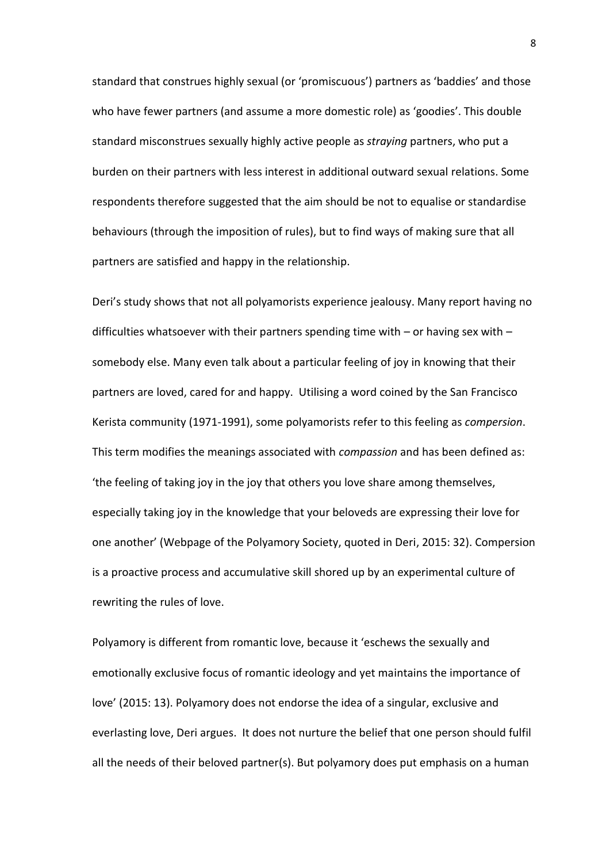standard that construes highly sexual (or 'promiscuous') partners as 'baddies' and those who have fewer partners (and assume a more domestic role) as 'goodies'. This double standard misconstrues sexually highly active people as *straying* partners, who put a burden on their partners with less interest in additional outward sexual relations. Some respondents therefore suggested that the aim should be not to equalise or standardise behaviours (through the imposition of rules), but to find ways of making sure that all partners are satisfied and happy in the relationship.

Deri's study shows that not all polyamorists experience jealousy. Many report having no difficulties whatsoever with their partners spending time with – or having sex with – somebody else. Many even talk about a particular feeling of joy in knowing that their partners are loved, cared for and happy. Utilising a word coined by the San Francisco Kerista community (1971-1991), some polyamorists refer to this feeling as *compersion*. This term modifies the meanings associated with *compassion* and has been defined as: 'the feeling of taking joy in the joy that others you love share among themselves, especially taking joy in the knowledge that your beloveds are expressing their love for one another' (Webpage of the Polyamory Society, quoted in Deri, 2015: 32). Compersion is a proactive process and accumulative skill shored up by an experimental culture of rewriting the rules of love.

Polyamory is different from romantic love, because it 'eschews the sexually and emotionally exclusive focus of romantic ideology and yet maintains the importance of love' (2015: 13). Polyamory does not endorse the idea of a singular, exclusive and everlasting love, Deri argues. It does not nurture the belief that one person should fulfil all the needs of their beloved partner(s). But polyamory does put emphasis on a human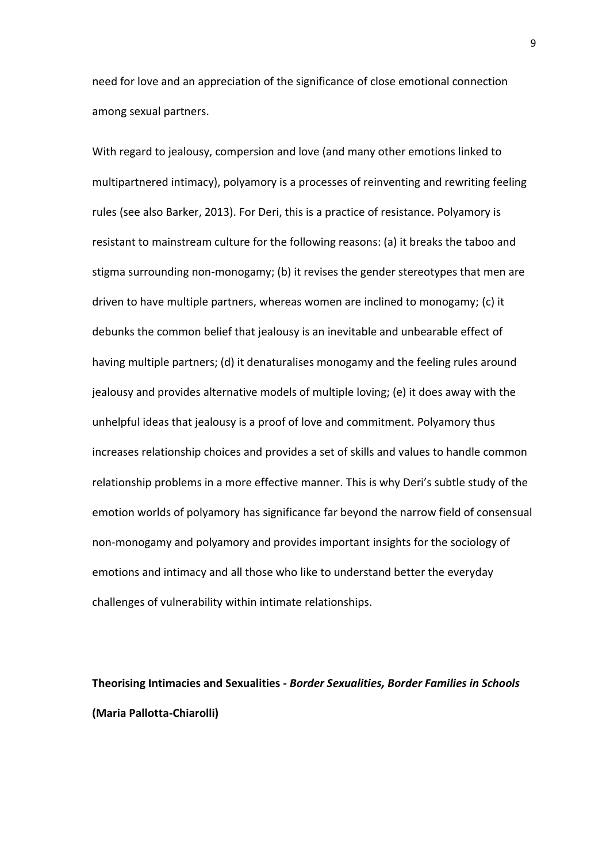need for love and an appreciation of the significance of close emotional connection among sexual partners.

With regard to jealousy, compersion and love (and many other emotions linked to multipartnered intimacy), polyamory is a processes of reinventing and rewriting feeling rules (see also Barker, 2013). For Deri, this is a practice of resistance. Polyamory is resistant to mainstream culture for the following reasons: (a) it breaks the taboo and stigma surrounding non-monogamy; (b) it revises the gender stereotypes that men are driven to have multiple partners, whereas women are inclined to monogamy; (c) it debunks the common belief that jealousy is an inevitable and unbearable effect of having multiple partners; (d) it denaturalises monogamy and the feeling rules around jealousy and provides alternative models of multiple loving; (e) it does away with the unhelpful ideas that jealousy is a proof of love and commitment. Polyamory thus increases relationship choices and provides a set of skills and values to handle common relationship problems in a more effective manner. This is why Deri's subtle study of the emotion worlds of polyamory has significance far beyond the narrow field of consensual non-monogamy and polyamory and provides important insights for the sociology of emotions and intimacy and all those who like to understand better the everyday challenges of vulnerability within intimate relationships.

**Theorising Intimacies and Sexualities** *- Border Sexualities, Border Families in Schools*  **(Maria Pallotta-Chiarolli)**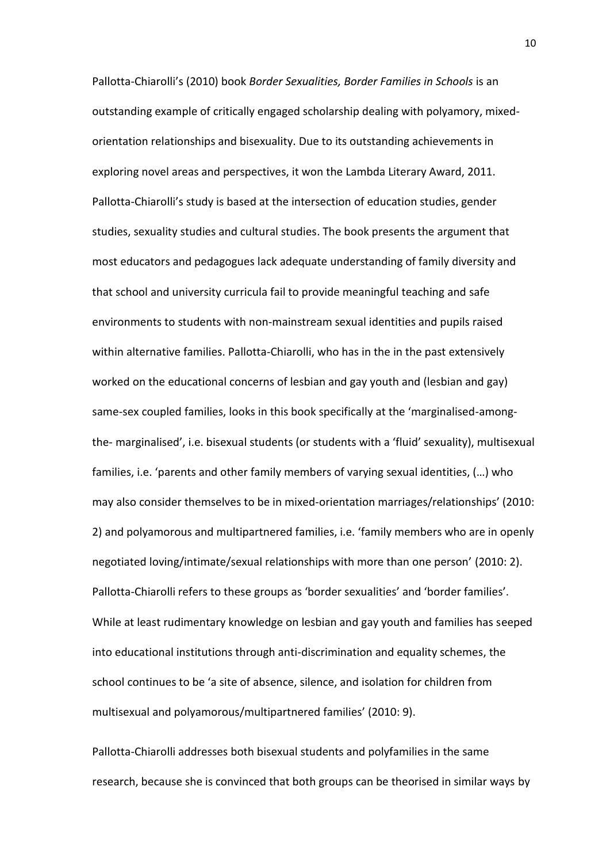Pallotta-Chiarolli's (2010) book *Border Sexualities, Border Families in Schools* is an outstanding example of critically engaged scholarship dealing with polyamory, mixedorientation relationships and bisexuality. Due to its outstanding achievements in exploring novel areas and perspectives, it won the Lambda Literary Award, 2011. Pallotta-Chiarolli's study is based at the intersection of education studies, gender studies, sexuality studies and cultural studies. The book presents the argument that most educators and pedagogues lack adequate understanding of family diversity and that school and university curricula fail to provide meaningful teaching and safe environments to students with non-mainstream sexual identities and pupils raised within alternative families. Pallotta-Chiarolli, who has in the in the past extensively worked on the educational concerns of lesbian and gay youth and (lesbian and gay) same-sex coupled families, looks in this book specifically at the 'marginalised-amongthe- marginalised', i.e. bisexual students (or students with a 'fluid' sexuality), multisexual families, i.e. 'parents and other family members of varying sexual identities, (…) who may also consider themselves to be in mixed-orientation marriages/relationships' (2010: 2) and polyamorous and multipartnered families, i.e. 'family members who are in openly negotiated loving/intimate/sexual relationships with more than one person' (2010: 2). Pallotta-Chiarolli refers to these groups as 'border sexualities' and 'border families'. While at least rudimentary knowledge on lesbian and gay youth and families has seeped into educational institutions through anti-discrimination and equality schemes, the school continues to be 'a site of absence, silence, and isolation for children from multisexual and polyamorous/multipartnered families' (2010: 9).

Pallotta-Chiarolli addresses both bisexual students and polyfamilies in the same research, because she is convinced that both groups can be theorised in similar ways by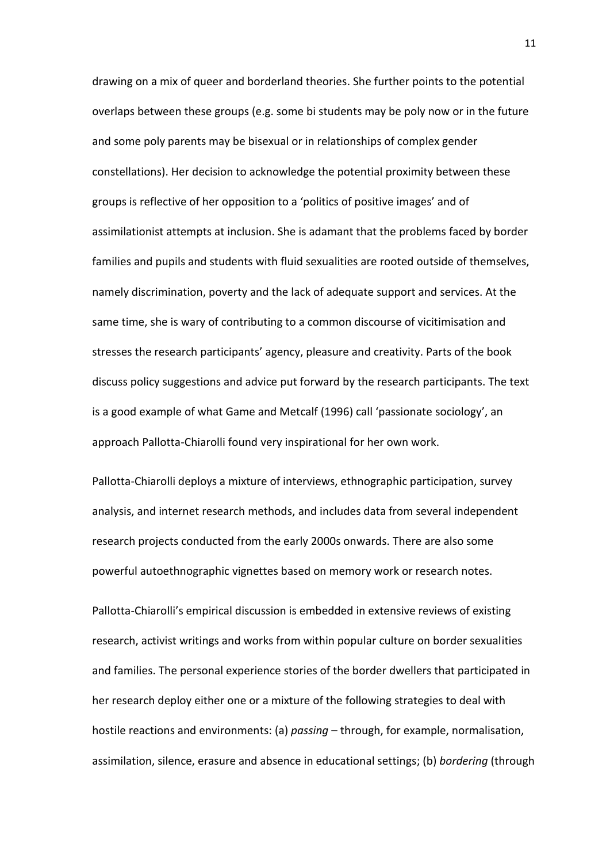drawing on a mix of queer and borderland theories. She further points to the potential overlaps between these groups (e.g. some bi students may be poly now or in the future and some poly parents may be bisexual or in relationships of complex gender constellations). Her decision to acknowledge the potential proximity between these groups is reflective of her opposition to a 'politics of positive images' and of assimilationist attempts at inclusion. She is adamant that the problems faced by border families and pupils and students with fluid sexualities are rooted outside of themselves, namely discrimination, poverty and the lack of adequate support and services. At the same time, she is wary of contributing to a common discourse of vicitimisation and stresses the research participants' agency, pleasure and creativity. Parts of the book discuss policy suggestions and advice put forward by the research participants. The text is a good example of what Game and Metcalf (1996) call 'passionate sociology', an approach Pallotta-Chiarolli found very inspirational for her own work.

Pallotta-Chiarolli deploys a mixture of interviews, ethnographic participation, survey analysis, and internet research methods, and includes data from several independent research projects conducted from the early 2000s onwards. There are also some powerful autoethnographic vignettes based on memory work or research notes.

Pallotta-Chiarolli's empirical discussion is embedded in extensive reviews of existing research, activist writings and works from within popular culture on border sexualities and families. The personal experience stories of the border dwellers that participated in her research deploy either one or a mixture of the following strategies to deal with hostile reactions and environments: (a) *passing* – through, for example, normalisation, assimilation, silence, erasure and absence in educational settings; (b) *bordering* (through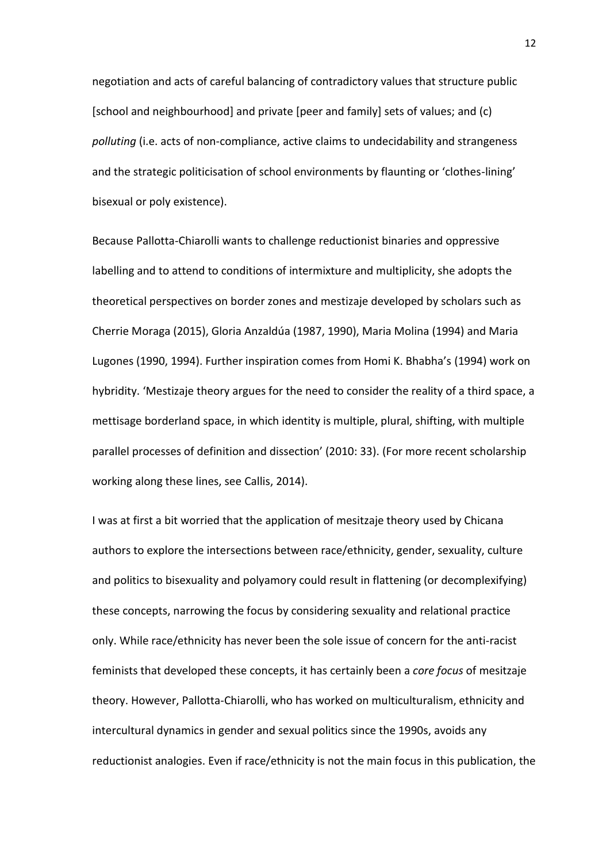negotiation and acts of careful balancing of contradictory values that structure public [school and neighbourhood] and private [peer and family] sets of values; and (c) *polluting* (i.e. acts of non-compliance, active claims to undecidability and strangeness and the strategic politicisation of school environments by flaunting or 'clothes-lining' bisexual or poly existence).

Because Pallotta-Chiarolli wants to challenge reductionist binaries and oppressive labelling and to attend to conditions of intermixture and multiplicity, she adopts the theoretical perspectives on border zones and mestizaje developed by scholars such as Cherrie Moraga (2015), Gloria Anzaldúa (1987, 1990), Maria Molina (1994) and Maria Lugones (1990, 1994). Further inspiration comes from Homi K. Bhabha's (1994) work on hybridity. 'Mestizaje theory argues for the need to consider the reality of a third space, a mettisage borderland space, in which identity is multiple, plural, shifting, with multiple parallel processes of definition and dissection' (2010: 33). (For more recent scholarship working along these lines, see Callis, 2014).

I was at first a bit worried that the application of mesitzaje theory used by Chicana authors to explore the intersections between race/ethnicity, gender, sexuality, culture and politics to bisexuality and polyamory could result in flattening (or decomplexifying) these concepts, narrowing the focus by considering sexuality and relational practice only. While race/ethnicity has never been the sole issue of concern for the anti-racist feminists that developed these concepts, it has certainly been a *core focus* of mesitzaje theory. However, Pallotta-Chiarolli, who has worked on multiculturalism, ethnicity and intercultural dynamics in gender and sexual politics since the 1990s, avoids any reductionist analogies. Even if race/ethnicity is not the main focus in this publication, the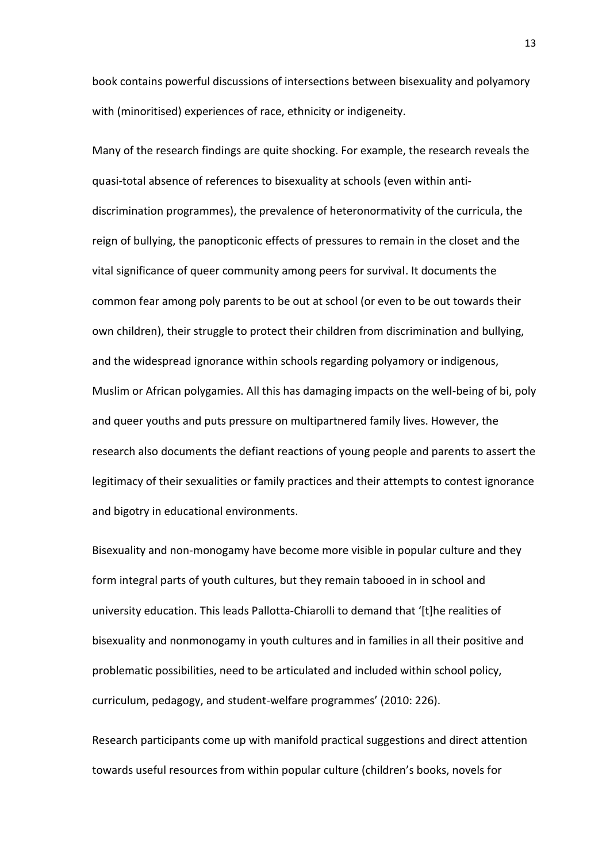book contains powerful discussions of intersections between bisexuality and polyamory with (minoritised) experiences of race, ethnicity or indigeneity.

Many of the research findings are quite shocking. For example, the research reveals the quasi-total absence of references to bisexuality at schools (even within antidiscrimination programmes), the prevalence of heteronormativity of the curricula, the reign of bullying, the panopticonic effects of pressures to remain in the closet and the vital significance of queer community among peers for survival. It documents the common fear among poly parents to be out at school (or even to be out towards their own children), their struggle to protect their children from discrimination and bullying, and the widespread ignorance within schools regarding polyamory or indigenous, Muslim or African polygamies. All this has damaging impacts on the well-being of bi, poly and queer youths and puts pressure on multipartnered family lives. However, the research also documents the defiant reactions of young people and parents to assert the legitimacy of their sexualities or family practices and their attempts to contest ignorance and bigotry in educational environments.

Bisexuality and non-monogamy have become more visible in popular culture and they form integral parts of youth cultures, but they remain tabooed in in school and university education. This leads Pallotta-Chiarolli to demand that '[t]he realities of bisexuality and nonmonogamy in youth cultures and in families in all their positive and problematic possibilities, need to be articulated and included within school policy, curriculum, pedagogy, and student-welfare programmes' (2010: 226).

Research participants come up with manifold practical suggestions and direct attention towards useful resources from within popular culture (children's books, novels for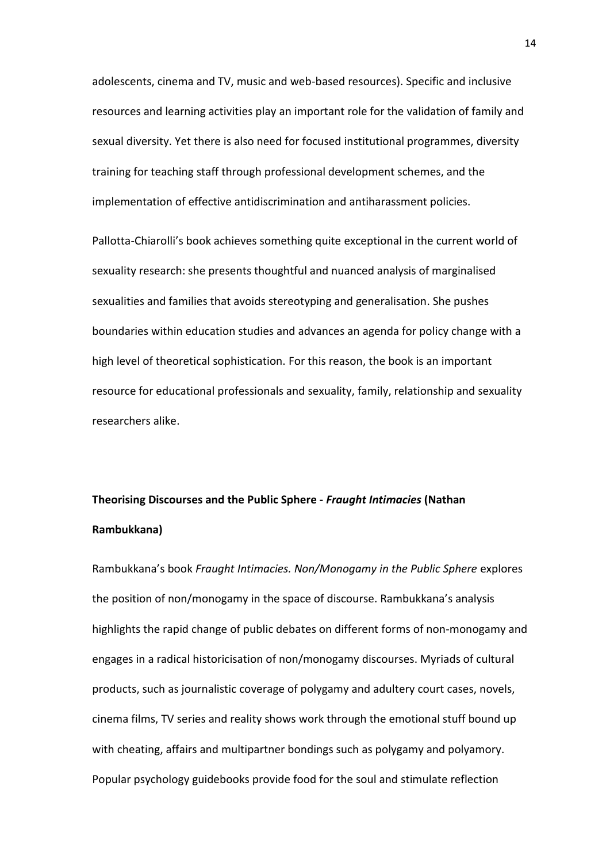adolescents, cinema and TV, music and web-based resources). Specific and inclusive resources and learning activities play an important role for the validation of family and sexual diversity. Yet there is also need for focused institutional programmes, diversity training for teaching staff through professional development schemes, and the implementation of effective antidiscrimination and antiharassment policies.

Pallotta-Chiarolli's book achieves something quite exceptional in the current world of sexuality research: she presents thoughtful and nuanced analysis of marginalised sexualities and families that avoids stereotyping and generalisation. She pushes boundaries within education studies and advances an agenda for policy change with a high level of theoretical sophistication. For this reason, the book is an important resource for educational professionals and sexuality, family, relationship and sexuality researchers alike.

# **Theorising Discourses and the Public Sphere -** *Fraught Intimacies* **(Nathan Rambukkana)**

Rambukkana's book *Fraught Intimacies. Non/Monogamy in the Public Sphere* explores the position of non/monogamy in the space of discourse. Rambukkana's analysis highlights the rapid change of public debates on different forms of non-monogamy and engages in a radical historicisation of non/monogamy discourses. Myriads of cultural products, such as journalistic coverage of polygamy and adultery court cases, novels, cinema films, TV series and reality shows work through the emotional stuff bound up with cheating, affairs and multipartner bondings such as polygamy and polyamory. Popular psychology guidebooks provide food for the soul and stimulate reflection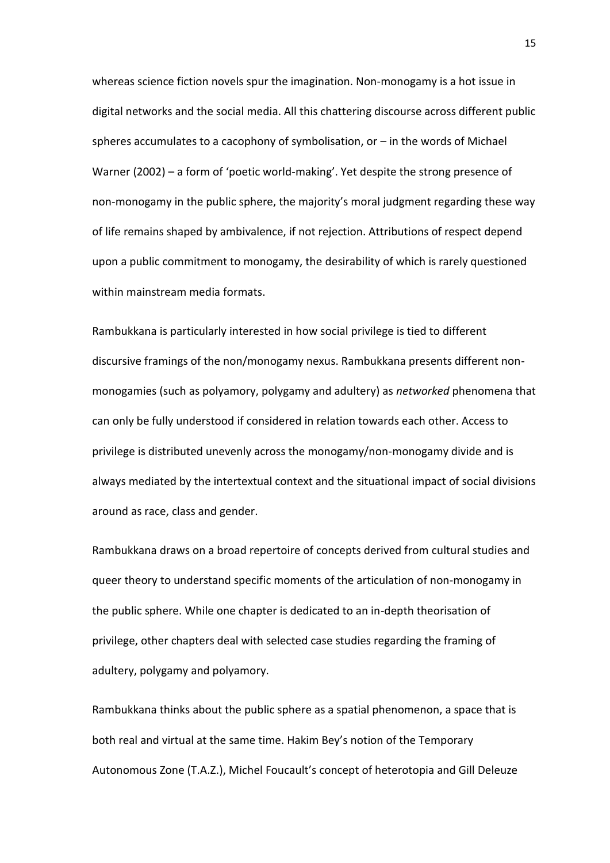whereas science fiction novels spur the imagination. Non-monogamy is a hot issue in digital networks and the social media. All this chattering discourse across different public spheres accumulates to a cacophony of symbolisation, or – in the words of Michael Warner (2002) – a form of 'poetic world-making'. Yet despite the strong presence of non-monogamy in the public sphere, the majority's moral judgment regarding these way of life remains shaped by ambivalence, if not rejection. Attributions of respect depend upon a public commitment to monogamy, the desirability of which is rarely questioned within mainstream media formats.

Rambukkana is particularly interested in how social privilege is tied to different discursive framings of the non/monogamy nexus. Rambukkana presents different nonmonogamies (such as polyamory, polygamy and adultery) as *networked* phenomena that can only be fully understood if considered in relation towards each other. Access to privilege is distributed unevenly across the monogamy/non-monogamy divide and is always mediated by the intertextual context and the situational impact of social divisions around as race, class and gender.

Rambukkana draws on a broad repertoire of concepts derived from cultural studies and queer theory to understand specific moments of the articulation of non-monogamy in the public sphere. While one chapter is dedicated to an in-depth theorisation of privilege, other chapters deal with selected case studies regarding the framing of adultery, polygamy and polyamory.

Rambukkana thinks about the public sphere as a spatial phenomenon, a space that is both real and virtual at the same time. Hakim Bey's notion of the Temporary Autonomous Zone (T.A.Z.), Michel Foucault's concept of heterotopia and Gill Deleuze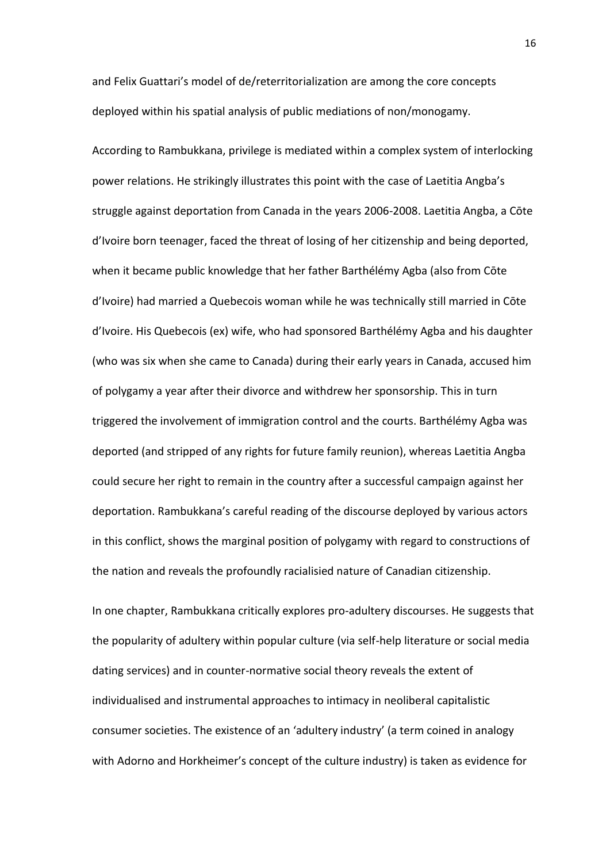and Felix Guattari's model of de/reterritorialization are among the core concepts deployed within his spatial analysis of public mediations of non/monogamy.

According to Rambukkana, privilege is mediated within a complex system of interlocking power relations. He strikingly illustrates this point with the case of Laetitia Angba's struggle against deportation from Canada in the years 2006-2008. Laetitia Angba, a Cōte d'Ivoire born teenager, faced the threat of losing of her citizenship and being deported, when it became public knowledge that her father Barthélémy Agba (also from Cōte d'Ivoire) had married a Quebecois woman while he was technically still married in Cōte d'Ivoire. His Quebecois (ex) wife, who had sponsored Barthélémy Agba and his daughter (who was six when she came to Canada) during their early years in Canada, accused him of polygamy a year after their divorce and withdrew her sponsorship. This in turn triggered the involvement of immigration control and the courts. Barthélémy Agba was deported (and stripped of any rights for future family reunion), whereas Laetitia Angba could secure her right to remain in the country after a successful campaign against her deportation. Rambukkana's careful reading of the discourse deployed by various actors in this conflict, shows the marginal position of polygamy with regard to constructions of the nation and reveals the profoundly racialisied nature of Canadian citizenship.

In one chapter, Rambukkana critically explores pro-adultery discourses. He suggests that the popularity of adultery within popular culture (via self-help literature or social media dating services) and in counter-normative social theory reveals the extent of individualised and instrumental approaches to intimacy in neoliberal capitalistic consumer societies. The existence of an 'adultery industry' (a term coined in analogy with Adorno and Horkheimer's concept of the culture industry) is taken as evidence for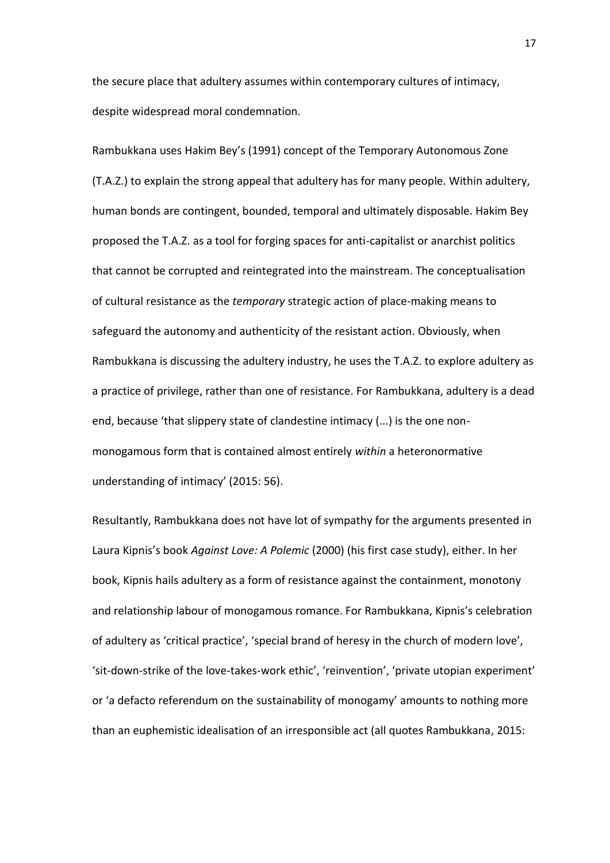the secure place that adultery assumes within contemporary cultures of intimacy, despite widespread moral condemnation.

Rambukkana uses Hakim Bey's (1991) concept of the Temporary Autonomous Zone (T.A.Z.) to explain the strong appeal that adultery has for many people. Within adultery, human bonds are contingent, bounded, temporal and ultimately disposable. Hakim Bey proposed the T.A.Z. as a tool for forging spaces for anti-capitalist or anarchist politics that cannot be corrupted and reintegrated into the mainstream. The conceptualisation of cultural resistance as the *temporary* strategic action of place-making means to safeguard the autonomy and authenticity of the resistant action. Obviously, when Rambukkana is discussing the adultery industry, he uses the T.A.Z. to explore adultery as a practice of privilege, rather than one of resistance. For Rambukkana, adultery is a dead end, because 'that slippery state of clandestine intimacy (...) is the one nonmonogamous form that is contained almost entirely *within* a heteronormative understanding of intimacy' (2015: 56).

Resultantly, Rambukkana does not have lot of sympathy for the arguments presented in Laura Kipnis's book *Against Love: A Polemic* (2000) (his first case study), either. In her book, Kipnis hails adultery as a form of resistance against the containment, monotony and relationship labour of monogamous romance. For Rambukkana, Kipnis's celebration of adultery as 'critical practice', 'special brand of heresy in the church of modern love', 'sit-down-strike of the love-takes-work ethic', 'reinvention', 'private utopian experiment' or 'a defacto referendum on the sustainability of monogamy' amounts to nothing more than an euphemistic idealisation of an irresponsible act (all quotes Rambukkana, 2015: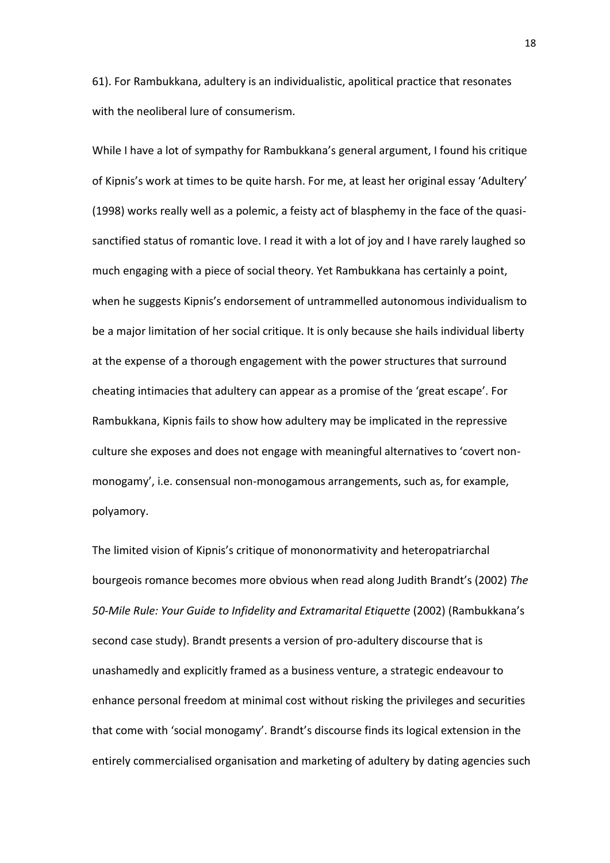61). For Rambukkana, adultery is an individualistic, apolitical practice that resonates with the neoliberal lure of consumerism.

While I have a lot of sympathy for Rambukkana's general argument, I found his critique of Kipnis's work at times to be quite harsh. For me, at least her original essay 'Adultery' (1998) works really well as a polemic, a feisty act of blasphemy in the face of the quasisanctified status of romantic love. I read it with a lot of joy and I have rarely laughed so much engaging with a piece of social theory. Yet Rambukkana has certainly a point, when he suggests Kipnis's endorsement of untrammelled autonomous individualism to be a major limitation of her social critique. It is only because she hails individual liberty at the expense of a thorough engagement with the power structures that surround cheating intimacies that adultery can appear as a promise of the 'great escape'. For Rambukkana, Kipnis fails to show how adultery may be implicated in the repressive culture she exposes and does not engage with meaningful alternatives to 'covert nonmonogamy', i.e. consensual non-monogamous arrangements, such as, for example, polyamory.

The limited vision of Kipnis's critique of mononormativity and heteropatriarchal bourgeois romance becomes more obvious when read along Judith Brandt's (2002) *The 50-Mile Rule: Your Guide to Infidelity and Extramarital Etiquette* (2002) (Rambukkana's second case study). Brandt presents a version of pro-adultery discourse that is unashamedly and explicitly framed as a business venture, a strategic endeavour to enhance personal freedom at minimal cost without risking the privileges and securities that come with 'social monogamy'. Brandt's discourse finds its logical extension in the entirely commercialised organisation and marketing of adultery by dating agencies such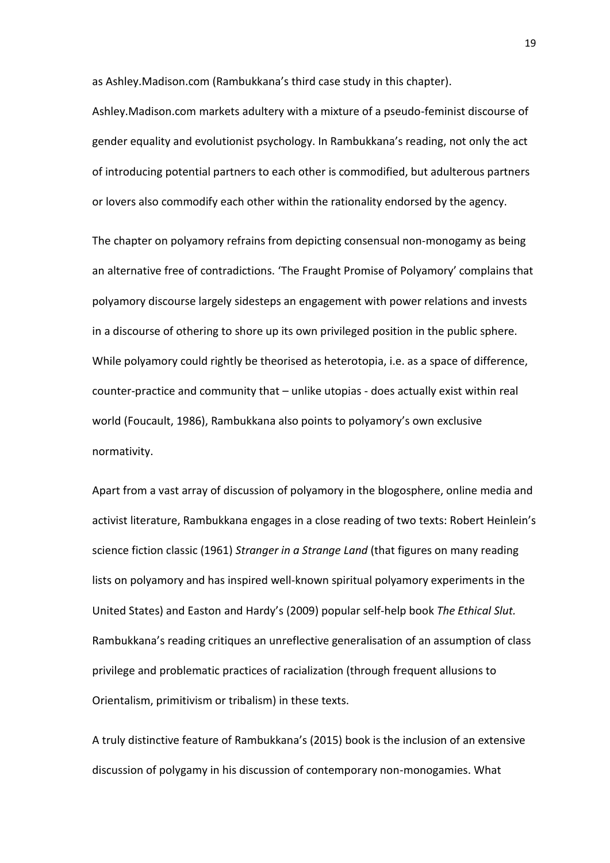as Ashley.Madison.com (Rambukkana's third case study in this chapter).

Ashley.Madison.com markets adultery with a mixture of a pseudo-feminist discourse of gender equality and evolutionist psychology. In Rambukkana's reading, not only the act of introducing potential partners to each other is commodified, but adulterous partners or lovers also commodify each other within the rationality endorsed by the agency.

The chapter on polyamory refrains from depicting consensual non-monogamy as being an alternative free of contradictions. 'The Fraught Promise of Polyamory' complains that polyamory discourse largely sidesteps an engagement with power relations and invests in a discourse of othering to shore up its own privileged position in the public sphere. While polyamory could rightly be theorised as heterotopia, i.e. as a space of difference, counter-practice and community that – unlike utopias - does actually exist within real world (Foucault, 1986), Rambukkana also points to polyamory's own exclusive normativity.

Apart from a vast array of discussion of polyamory in the blogosphere, online media and activist literature, Rambukkana engages in a close reading of two texts: Robert Heinlein's science fiction classic (1961) *Stranger in a Strange Land* (that figures on many reading lists on polyamory and has inspired well-known spiritual polyamory experiments in the United States) and Easton and Hardy's (2009) popular self-help book *The Ethical Slut.*  Rambukkana's reading critiques an unreflective generalisation of an assumption of class privilege and problematic practices of racialization (through frequent allusions to Orientalism, primitivism or tribalism) in these texts.

A truly distinctive feature of Rambukkana's (2015) book is the inclusion of an extensive discussion of polygamy in his discussion of contemporary non-monogamies. What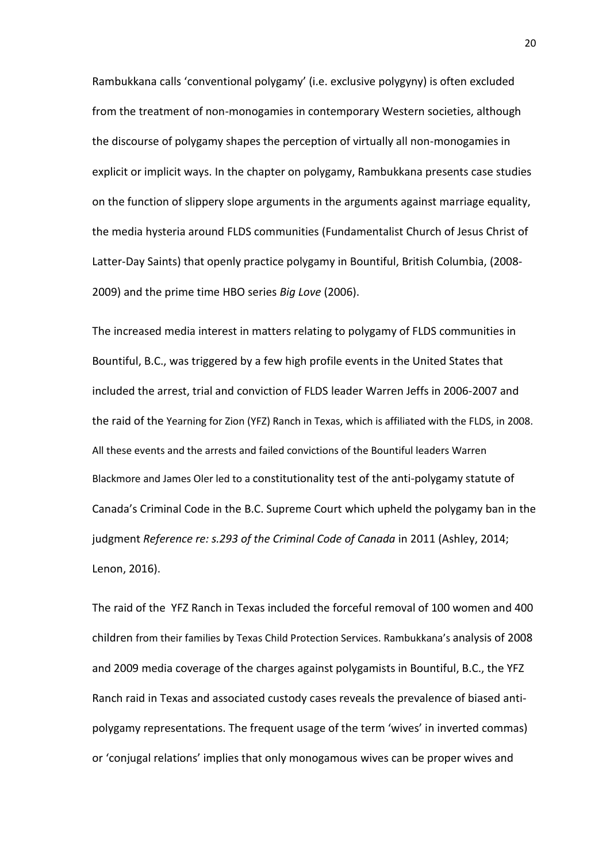Rambukkana calls 'conventional polygamy' (i.e. exclusive polygyny) is often excluded from the treatment of non-monogamies in contemporary Western societies, although the discourse of polygamy shapes the perception of virtually all non-monogamies in explicit or implicit ways. In the chapter on polygamy, Rambukkana presents case studies on the function of slippery slope arguments in the arguments against marriage equality, the media hysteria around FLDS communities (Fundamentalist Church of Jesus Christ of Latter-Day Saints) that openly practice polygamy in Bountiful, British Columbia, (2008- 2009) and the prime time HBO series *Big Love* (2006).

The increased media interest in matters relating to polygamy of FLDS communities in Bountiful, B.C., was triggered by a few high profile events in the United States that included the arrest, trial and conviction of FLDS leader Warren Jeffs in 2006-2007 and the raid of the Yearning for Zion (YFZ) Ranch in Texas, which is affiliated with the FLDS, in 2008. All these events and the arrests and failed convictions of the Bountiful leaders Warren Blackmore and James Oler led to a constitutionality test of the anti-polygamy statute of Canada's Criminal Code in the B.C. Supreme Court which upheld the polygamy ban in the judgment *Reference re: s.293 of the Criminal Code of Canada* in 2011 (Ashley, 2014; Lenon, 2016).

The raid of the YFZ Ranch in Texas included the forceful removal of 100 women and 400 children from their families by Texas Child Protection Services. Rambukkana's analysis of 2008 and 2009 media coverage of the charges against polygamists in Bountiful, B.C., the YFZ Ranch raid in Texas and associated custody cases reveals the prevalence of biased antipolygamy representations. The frequent usage of the term 'wives' in inverted commas) or 'conjugal relations' implies that only monogamous wives can be proper wives and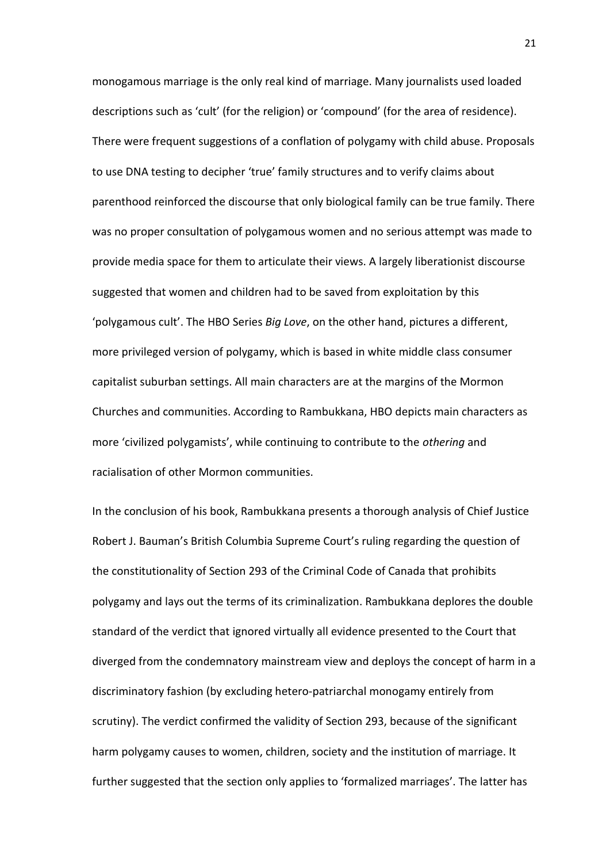monogamous marriage is the only real kind of marriage. Many journalists used loaded descriptions such as 'cult' (for the religion) or 'compound' (for the area of residence). There were frequent suggestions of a conflation of polygamy with child abuse. Proposals to use DNA testing to decipher 'true' family structures and to verify claims about parenthood reinforced the discourse that only biological family can be true family. There was no proper consultation of polygamous women and no serious attempt was made to provide media space for them to articulate their views. A largely liberationist discourse suggested that women and children had to be saved from exploitation by this 'polygamous cult'. The HBO Series *Big Love*, on the other hand, pictures a different, more privileged version of polygamy, which is based in white middle class consumer capitalist suburban settings. All main characters are at the margins of the Mormon Churches and communities. According to Rambukkana, HBO depicts main characters as more 'civilized polygamists', while continuing to contribute to the *othering* and racialisation of other Mormon communities.

In the conclusion of his book, Rambukkana presents a thorough analysis of Chief Justice Robert J. Bauman's British Columbia Supreme Court's ruling regarding the question of the constitutionality of Section 293 of the Criminal Code of Canada that prohibits polygamy and lays out the terms of its criminalization. Rambukkana deplores the double standard of the verdict that ignored virtually all evidence presented to the Court that diverged from the condemnatory mainstream view and deploys the concept of harm in a discriminatory fashion (by excluding hetero-patriarchal monogamy entirely from scrutiny). The verdict confirmed the validity of Section 293, because of the significant harm polygamy causes to women, children, society and the institution of marriage. It further suggested that the section only applies to 'formalized marriages'. The latter has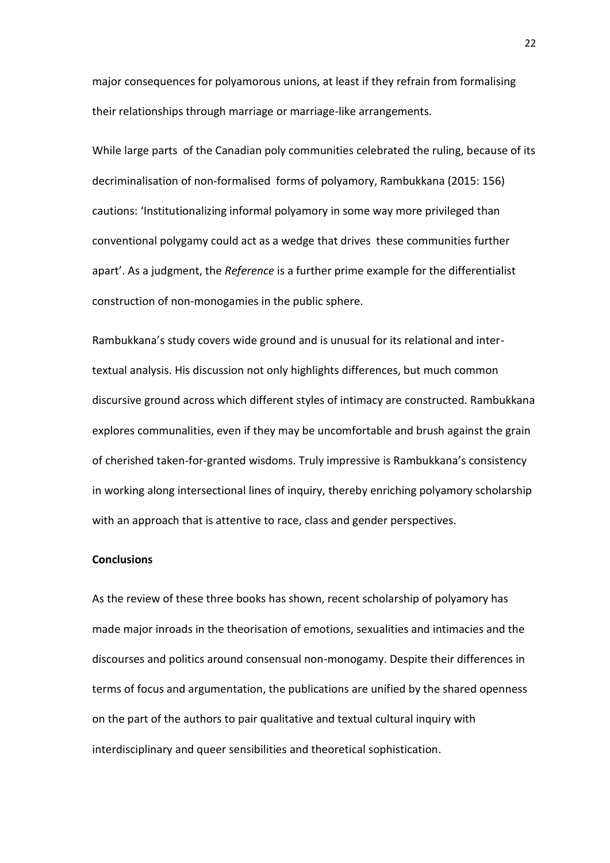major consequences for polyamorous unions, at least if they refrain from formalising their relationships through marriage or marriage-like arrangements.

While large parts of the Canadian poly communities celebrated the ruling, because of its decriminalisation of non-formalised forms of polyamory, Rambukkana (2015: 156) cautions: 'Institutionalizing informal polyamory in some way more privileged than conventional polygamy could act as a wedge that drives these communities further apart'. As a judgment, the *Reference* is a further prime example for the differentialist construction of non-monogamies in the public sphere.

Rambukkana's study covers wide ground and is unusual for its relational and intertextual analysis. His discussion not only highlights differences, but much common discursive ground across which different styles of intimacy are constructed. Rambukkana explores communalities, even if they may be uncomfortable and brush against the grain of cherished taken-for-granted wisdoms. Truly impressive is Rambukkana's consistency in working along intersectional lines of inquiry, thereby enriching polyamory scholarship with an approach that is attentive to race, class and gender perspectives.

### **Conclusions**

As the review of these three books has shown, recent scholarship of polyamory has made major inroads in the theorisation of emotions, sexualities and intimacies and the discourses and politics around consensual non-monogamy. Despite their differences in terms of focus and argumentation, the publications are unified by the shared openness on the part of the authors to pair qualitative and textual cultural inquiry with interdisciplinary and queer sensibilities and theoretical sophistication.

22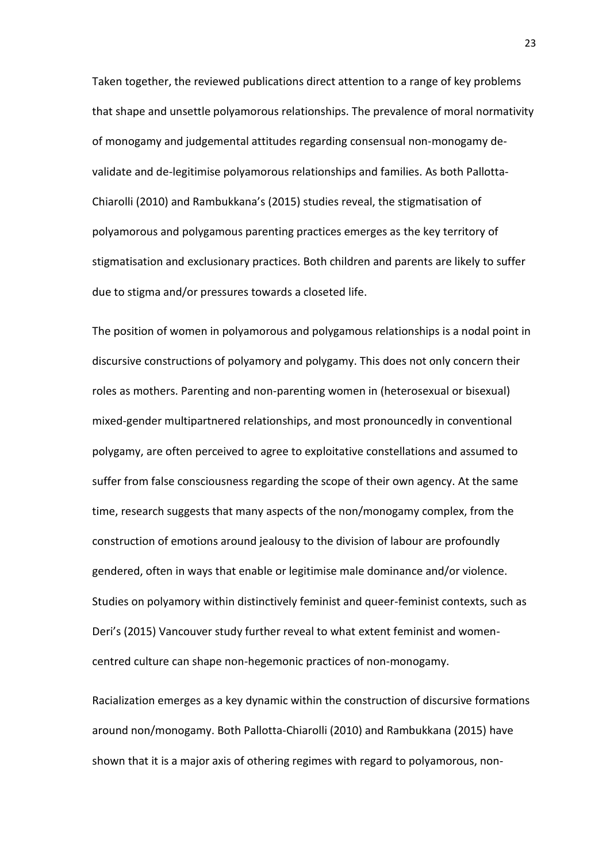Taken together, the reviewed publications direct attention to a range of key problems that shape and unsettle polyamorous relationships. The prevalence of moral normativity of monogamy and judgemental attitudes regarding consensual non-monogamy devalidate and de-legitimise polyamorous relationships and families. As both Pallotta-Chiarolli (2010) and Rambukkana's (2015) studies reveal, the stigmatisation of polyamorous and polygamous parenting practices emerges as the key territory of stigmatisation and exclusionary practices. Both children and parents are likely to suffer due to stigma and/or pressures towards a closeted life.

The position of women in polyamorous and polygamous relationships is a nodal point in discursive constructions of polyamory and polygamy. This does not only concern their roles as mothers. Parenting and non-parenting women in (heterosexual or bisexual) mixed-gender multipartnered relationships, and most pronouncedly in conventional polygamy, are often perceived to agree to exploitative constellations and assumed to suffer from false consciousness regarding the scope of their own agency. At the same time, research suggests that many aspects of the non/monogamy complex, from the construction of emotions around jealousy to the division of labour are profoundly gendered, often in ways that enable or legitimise male dominance and/or violence. Studies on polyamory within distinctively feminist and queer-feminist contexts, such as Deri's (2015) Vancouver study further reveal to what extent feminist and womencentred culture can shape non-hegemonic practices of non-monogamy.

Racialization emerges as a key dynamic within the construction of discursive formations around non/monogamy. Both Pallotta-Chiarolli (2010) and Rambukkana (2015) have shown that it is a major axis of othering regimes with regard to polyamorous, non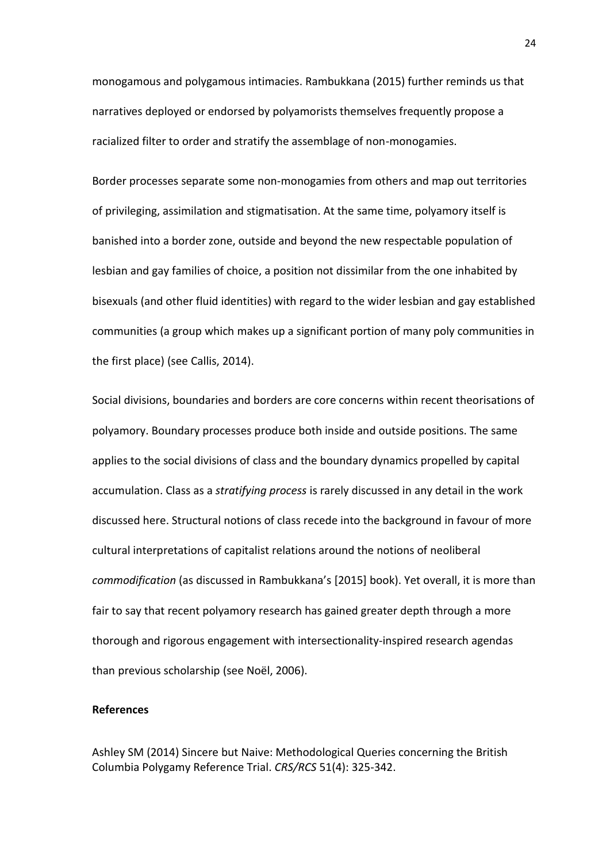monogamous and polygamous intimacies. Rambukkana (2015) further reminds us that narratives deployed or endorsed by polyamorists themselves frequently propose a racialized filter to order and stratify the assemblage of non-monogamies.

Border processes separate some non-monogamies from others and map out territories of privileging, assimilation and stigmatisation. At the same time, polyamory itself is banished into a border zone, outside and beyond the new respectable population of lesbian and gay families of choice, a position not dissimilar from the one inhabited by bisexuals (and other fluid identities) with regard to the wider lesbian and gay established communities (a group which makes up a significant portion of many poly communities in the first place) (see Callis, 2014).

Social divisions, boundaries and borders are core concerns within recent theorisations of polyamory. Boundary processes produce both inside and outside positions. The same applies to the social divisions of class and the boundary dynamics propelled by capital accumulation. Class as a *stratifying process* is rarely discussed in any detail in the work discussed here. Structural notions of class recede into the background in favour of more cultural interpretations of capitalist relations around the notions of neoliberal *commodification* (as discussed in Rambukkana's [2015] book). Yet overall, it is more than fair to say that recent polyamory research has gained greater depth through a more thorough and rigorous engagement with intersectionality-inspired research agendas than previous scholarship (see Noël, 2006).

#### **References**

Ashley SM (2014) Sincere but Naive: Methodological Queries concerning the British Columbia Polygamy Reference Trial. *CRS/RCS* 51(4): 325-342.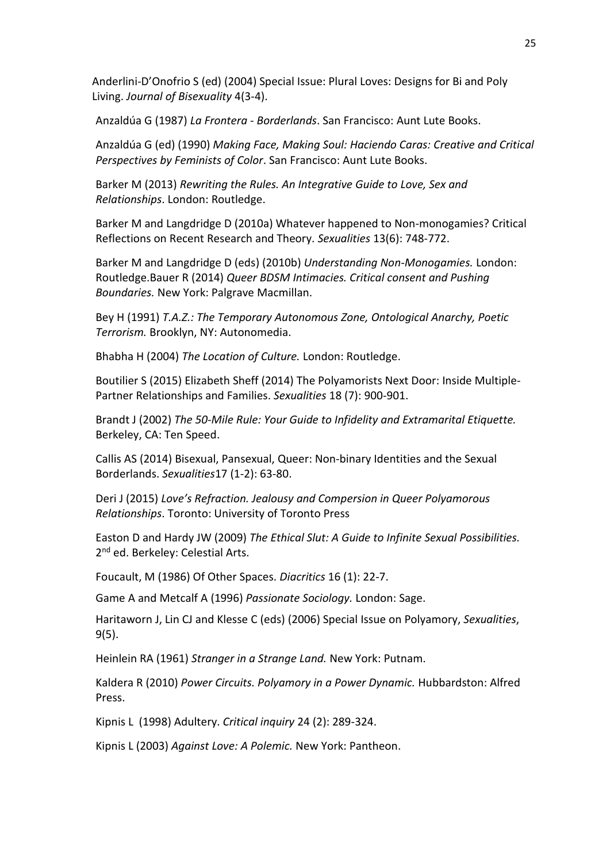Anderlini-D'Onofrio S (ed) (2004) Special Issue: Plural Loves: Designs for Bi and Poly Living. *Journal of Bisexuality* 4(3-4).

Anzaldúa G (1987) *La Frontera - Borderlands*. San Francisco: Aunt Lute Books.

Anzaldúa G (ed) (1990) *Making Face, Making Soul: Haciendo Caras: Creative and Critical Perspectives by Feminists of Color*. San Francisco: Aunt Lute Books.

Barker M (2013) *Rewriting the Rules. An Integrative Guide to Love, Sex and Relationships*. London: Routledge.

Barker M and Langdridge D (2010a) Whatever happened to Non-monogamies? Critical Reflections on Recent Research and Theory. *Sexualities* 13(6): 748-772.

Barker M and Langdridge D (eds) (2010b) *Understanding Non-Monogamies.* London: Routledge.Bauer R (2014) *Queer BDSM Intimacies. Critical consent and Pushing Boundaries.* New York: Palgrave Macmillan.

Bey H (1991) *T.A.Z.: The Temporary Autonomous Zone, Ontological Anarchy, Poetic Terrorism.* Brooklyn, NY: Autonomedia.

Bhabha H (2004) *The Location of Culture.* London: Routledge.

Boutilier S (2015) Elizabeth Sheff (2014) The Polyamorists Next Door: Inside Multiple-Partner Relationships and Families. *Sexualities* 18 (7): 900-901.

Brandt J (2002) *The 50-Mile Rule: Your Guide to Infidelity and Extramarital Etiquette.*  Berkeley, CA: Ten Speed.

Callis AS (2014) Bisexual, Pansexual, Queer: Non-binary Identities and the Sexual Borderlands. *Sexualities*17 (1-2): 63-80.

Deri J (2015) *Love's Refraction. Jealousy and Compersion in Queer Polyamorous Relationships*. Toronto: University of Toronto Press

Easton D and Hardy JW (2009) *The Ethical Slut: A Guide to Infinite Sexual Possibilities.*  2<sup>nd</sup> ed. Berkeley: Celestial Arts.

Foucault, M (1986) Of Other Spaces. *Diacritics* 16 (1): 22-7.

Game A and Metcalf A (1996) *Passionate Sociology.* London: Sage.

Haritaworn J, Lin CJ and Klesse C (eds) (2006) Special Issue on Polyamory, *Sexualities*, 9(5).

Heinlein RA (1961) *Stranger in a Strange Land.* New York: Putnam.

Kaldera R (2010) *Power Circuits. Polyamory in a Power Dynamic.* Hubbardston: Alfred Press.

Kipnis L (1998) Adultery. *Critical inquiry* 24 (2): 289-324.

Kipnis L (2003) *Against Love: A Polemic.* New York: Pantheon.